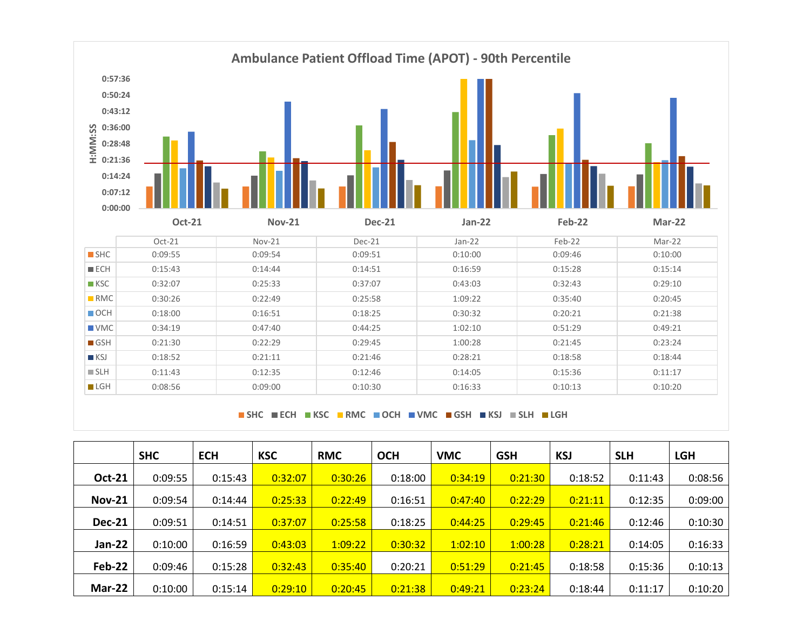

**SHC ECH KSC RMC OCH VMC GSH KSJ SLH LGH**

|               | <b>SHC</b> | <b>ECH</b> | <b>KSC</b> | <b>RMC</b> | <b>OCH</b> | <b>VMC</b> | <b>GSH</b> | <b>KSJ</b> | <b>SLH</b> | <b>LGH</b> |
|---------------|------------|------------|------------|------------|------------|------------|------------|------------|------------|------------|
| <b>Oct-21</b> | 0:09:55    | 0:15:43    | 0:32:07    | 0:30:26    | 0:18:00    | 0:34:19    | 0:21:30    | 0:18:52    | 0:11:43    | 0:08:56    |
| <b>Nov-21</b> | 0:09:54    | 0:14:44    | 0:25:33    | 0:22:49    | 0:16:51    | 0:47:40    | 0:22:29    | 0:21:11    | 0:12:35    | 0:09:00    |
| <b>Dec-21</b> | 0:09:51    | 0:14:51    | 0:37:07    | 0:25:58    | 0:18:25    | 0:44:25    | 0:29:45    | 0:21:46    | 0:12:46    | 0:10:30    |
| Jan-22        | 0:10:00    | 0:16:59    | 0:43:03    | 1:09:22    | 0:30:32    | 1:02:10    | 1:00:28    | 0:28:21    | 0:14:05    | 0:16:33    |
| Feb-22        | 0:09:46    | 0:15:28    | 0:32:43    | 0:35:40    | 0:20:21    | 0:51:29    | 0:21:45    | 0:18:58    | 0:15:36    | 0:10:13    |
| Mar-22        | 0:10:00    | 0:15:14    | 0:29:10    | 0:20:45    | 0:21:38    | 0:49:21    | 0:23:24    | 0:18:44    | 0:11:17    | 0:10:20    |